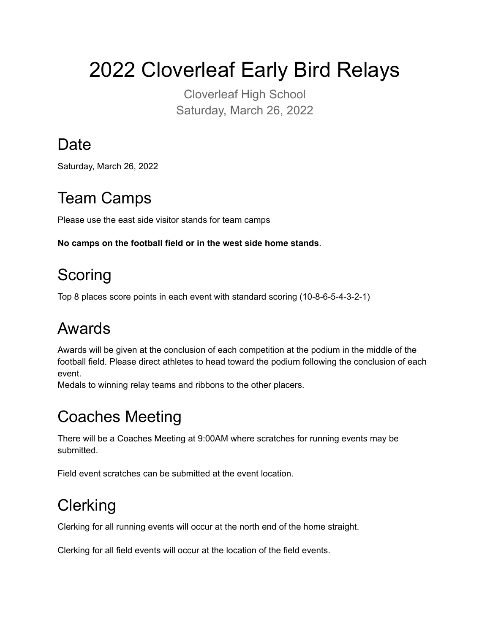2022 Cloverleaf Early Bird Relays

Cloverleaf High School Saturday, March 26, 2022

## **Date**

Saturday, March 26, 2022

# Team Camps

Please use the east side visitor stands for team camps

**No camps on the football field or in the west side home stands**.

# **Scoring**

Top 8 places score points in each event with standard scoring (10-8-6-5-4-3-2-1)

# Awards

Awards will be given at the conclusion of each competition at the podium in the middle of the football field. Please direct athletes to head toward the podium following the conclusion of each event.

Medals to winning relay teams and ribbons to the other placers.

# Coaches Meeting

There will be a Coaches Meeting at 9:00AM where scratches for running events may be submitted.

Field event scratches can be submitted at the event location.

# **Clerking**

Clerking for all running events will occur at the north end of the home straight.

Clerking for all field events will occur at the location of the field events.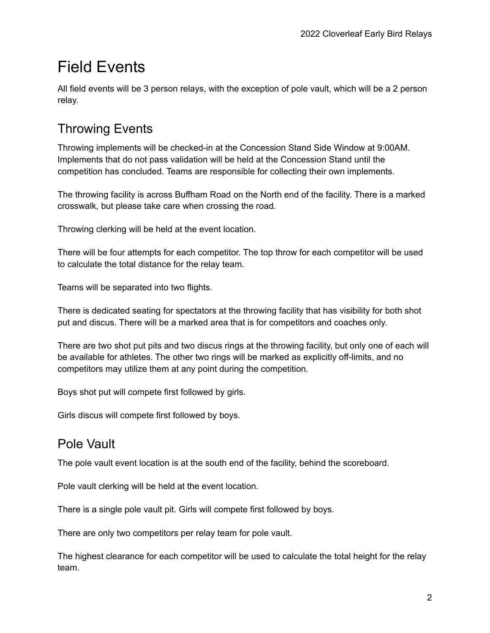# Field Events

All field events will be 3 person relays, with the exception of pole vault, which will be a 2 person relay.

### Throwing Events

Throwing implements will be checked-in at the Concession Stand Side Window at 9:00AM. Implements that do not pass validation will be held at the Concession Stand until the competition has concluded. Teams are responsible for collecting their own implements.

The throwing facility is across Buffham Road on the North end of the facility. There is a marked crosswalk, but please take care when crossing the road.

Throwing clerking will be held at the event location.

There will be four attempts for each competitor. The top throw for each competitor will be used to calculate the total distance for the relay team.

Teams will be separated into two flights.

There is dedicated seating for spectators at the throwing facility that has visibility for both shot put and discus. There will be a marked area that is for competitors and coaches only.

There are two shot put pits and two discus rings at the throwing facility, but only one of each will be available for athletes. The other two rings will be marked as explicitly off-limits, and no competitors may utilize them at any point during the competition.

Boys shot put will compete first followed by girls.

Girls discus will compete first followed by boys.

### Pole Vault

The pole vault event location is at the south end of the facility, behind the scoreboard.

Pole vault clerking will be held at the event location.

There is a single pole vault pit. Girls will compete first followed by boys.

There are only two competitors per relay team for pole vault.

The highest clearance for each competitor will be used to calculate the total height for the relay team.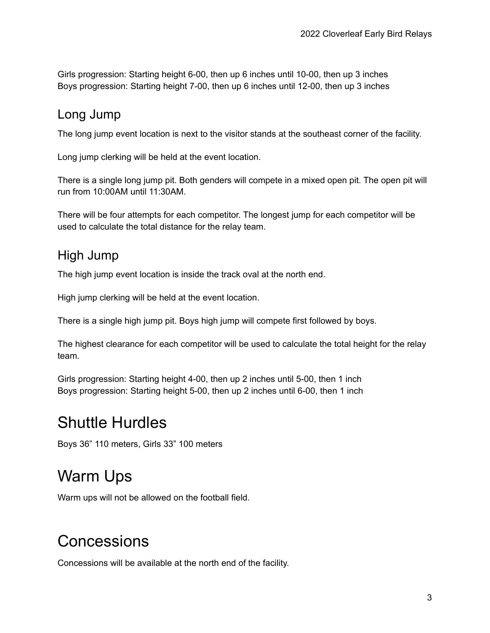Girls progression: Starting height 6-00, then up 6 inches until 10-00, then up 3 inches Boys progression: Starting height 7-00, then up 6 inches until 12-00, then up 3 inches

#### Long Jump

The long jump event location is next to the visitor stands at the southeast corner of the facility.

Long jump clerking will be held at the event location.

There is a single long jump pit. Both genders will compete in a mixed open pit. The open pit will run from 10:00AM until 11:30AM.

There will be four attempts for each competitor. The longest jump for each competitor will be used to calculate the total distance for the relay team.

### High Jump

The high jump event location is inside the track oval at the north end.

High jump clerking will be held at the event location.

There is a single high jump pit. Boys high jump will compete first followed by boys.

The highest clearance for each competitor will be used to calculate the total height for the relay team.

Girls progression: Starting height 4-00, then up 2 inches until 5-00, then 1 inch Boys progression: Starting height 5-00, then up 2 inches until 6-00, then 1 inch

### Shuttle Hurdles

Boys 36" 110 meters, Girls 33" 100 meters

## Warm Ups

Warm ups will not be allowed on the football field.

### **Concessions**

Concessions will be available at the north end of the facility.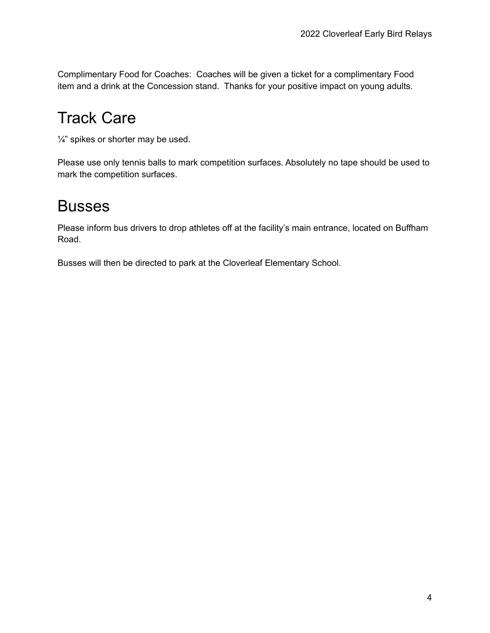Complimentary Food for Coaches: Coaches will be given a ticket for a complimentary Food item and a drink at the Concession stand. Thanks for your positive impact on young adults.

# Track Care

 $\frac{1}{4}$ " spikes or shorter may be used.

Please use only tennis balls to mark competition surfaces. Absolutely no tape should be used to mark the competition surfaces.

### Busses

Please inform bus drivers to drop athletes off at the facility's main entrance, located on Buffham Road.

Busses will then be directed to park at the Cloverleaf Elementary School.